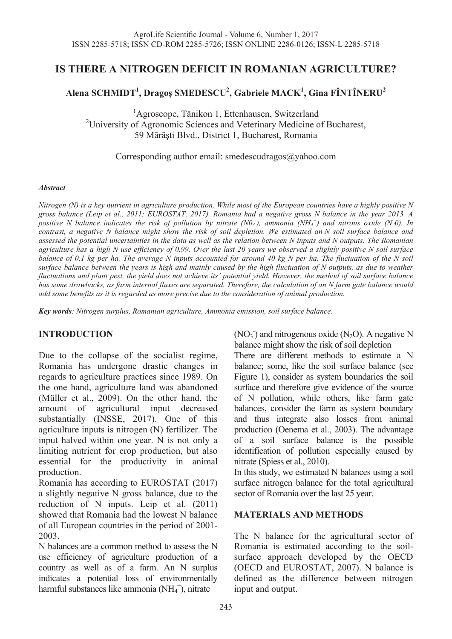# **IS THERE A NITROGEN DEFICIT IN ROMANIAN AGRICULTURE?**

# **Alena SCHMIDT1 , Dragoș SMEDESCU2 , Gabriele MACK1 , Gina FÎNTÎNERU<sup>2</sup>**

<sup>1</sup>Agroscope, Tänikon 1, Ettenhausen, Switzerland <sup>2</sup>University of Agronomic Sciences and Veterinary Medicine of Bucharest, 59 Mărăşti Blvd., District 1, Bucharest, Romania

Corresponding author email: smedescudragos@yahoo.com

#### *Abstract*

*Nitrogen (N) is a key nutrient in agriculture production. While most of the European countries have a highly positive N gross balance (Leip et al., 2011; EUROSTAT, 2017), Romania had a negative gross N balance in the year 2013. A*  positive *N* balance indicates the risk of pollution by nitrate (N0<sub>3</sub>), ammonia (NH<sub>4</sub><sup>+</sup>) and nitrous oxide (N<sub>2</sub>0). In *contrast, a negative N balance might show the risk of soil depletion. We estimated an N soil surface balance and assessed the potential uncertainties in the data as well as the relation between N inputs and N outputs. The Romanian agriculture has a high N use efficiency of 0.99. Over the last 20 years we observed a slightly positive N soil surface balance of 0.1 kg per ha. The average N inputs accounted for around 40 kg N per ha. The fluctuation of the N soil surface balance between the years is high and mainly caused by the high fluctuation of N outputs, as due to weather fluctuations and plant pest, the yield does not achieve its' potential yield. However, the method of soil surface balance has some drawbacks, as farm internal fluxes are separated. Therefore, the calculation of an N farm gate balance would add some benefits as it is regarded as more precise due to the consideration of animal production.*

*Key words: Nitrogen surplus, Romanian agriculture, Ammonia emission, soil surface balance.* 

#### **INTRODUCTION**

Due to the collapse of the socialist regime, Romania has undergone drastic changes in regards to agriculture practices since 1989. On the one hand, agriculture land was abandoned (Müller et al., 2009). On the other hand, the amount of agricultural input decreased amount of agricultural input decreased substantially (INSSE, 2017). One of this agriculture inputs is nitrogen (N) fertilizer. The input halved within one year. N is not only a limiting nutrient for crop production, but also essential for the productivity in animal production.

Romania has according to EUROSTAT (2017) a slightly negative N gross balance, due to the reduction of N inputs. Leip et al. (2011) showed that Romania had the lowest N balance of all European countries in the period of 2001- 2003.

N balances are a common method to assess the N use efficiency of agriculture production of a country as well as of a farm. An N surplus indicates a potential loss of environmentally harmful substances like ammonia (NH<sub>4</sub><sup>+</sup>), nitrate

 $(NO<sub>3</sub>)$  and nitrogenous oxide  $(N<sub>2</sub>O)$ . A negative N balance might show the risk of soil depletion

There are different methods to estimate a N balance; some, like the soil surface balance (see Figure 1), consider as system boundaries the soil surface and therefore give evidence of the source of N pollution, while others, like farm gate balances, consider the farm as system boundary and thus integrate also losses from animal production (Oenema et al., 2003). The advantage of a soil surface balance is the possible identification of pollution especially caused by nitrate (Spiess et al., 2010).

In this study, we estimated N balances using a soil surface nitrogen balance for the total agricultural sector of Romania over the last 25 year.

#### **MATERIALS AND METHODS**

The N balance for the agricultural sector of Romania is estimated according to the soilsurface approach developed by the OECD (OECD and EUROSTAT, 2007). N balance is defined as the difference between nitrogen input and output.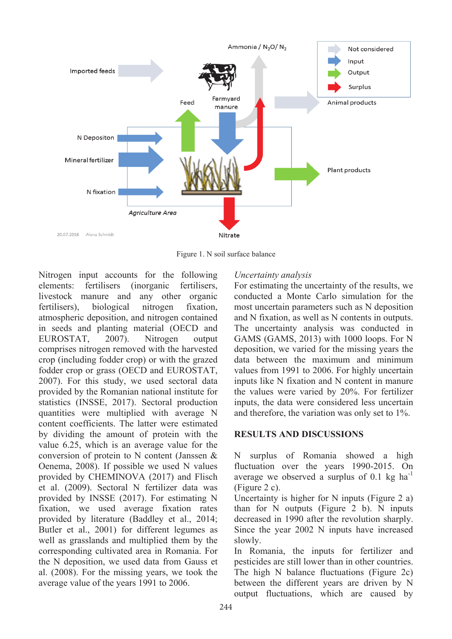

Figure 1. N soil surface balance

Nitrogen input accounts for the following elements: fertilisers (inorganic fertilisers, livestock manure and any other organic fertilisers), biological nitrogen fixation, atmospheric deposition, and nitrogen contained in seeds and planting material (OECD and EUROSTAT, 2007). Nitrogen output comprises nitrogen removed with the harvested crop (including fodder crop) or with the grazed fodder crop or grass (OECD and EUROSTAT, 2007). For this study, we used sectoral data provided by the Romanian national institute for statistics (INSSE, 2017). Sectoral production quantities were multiplied with average N content coefficients. The latter were estimated by dividing the amount of protein with the value 6.25, which is an average value for the conversion of protein to N content (Janssen & Oenema, 2008). If possible we used N values provided by CHEMINOVA (2017) and Flisch et al. (2009). Sectoral N fertilizer data was provided by INSSE (2017). For estimating N fixation, we used average fixation rates provided by literature (Baddley et al., 2014; Butler et al., 2001) for different legumes as well as grasslands and multiplied them by the corresponding cultivated area in Romania. For the N deposition, we used data from Gauss et al. (2008). For the missing years, we took the average value of the years 1991 to 2006.

## *Uncertainty analysis*

For estimating the uncertainty of the results, we conducted a Monte Carlo simulation for the most uncertain parameters such as N deposition and N fixation, as well as N contents in outputs. The uncertainty analysis was conducted in GAMS (GAMS, 2013) with 1000 loops. For N deposition, we varied for the missing years the data between the maximum and minimum values from 1991 to 2006. For highly uncertain inputs like N fixation and N content in manure the values were varied by 20%. For fertilizer inputs, the data were considered less uncertain and therefore, the variation was only set to 1%.

## **RESULTS AND DISCUSSIONS**

N surplus of Romania showed a high fluctuation over the years 1990-2015. On average we observed a surplus of  $0.1 \text{ kg} \text{ ha}^{-1}$ (Figure 2 c).

Uncertainty is higher for N inputs (Figure 2 a) than for N outputs (Figure 2 b). N inputs decreased in 1990 after the revolution sharply. Since the year 2002 N inputs have increased slowly.

In Romania, the inputs for fertilizer and pesticides are still lower than in other countries. The high N balance fluctuations (Figure 2c) between the different years are driven by N output fluctuations, which are caused by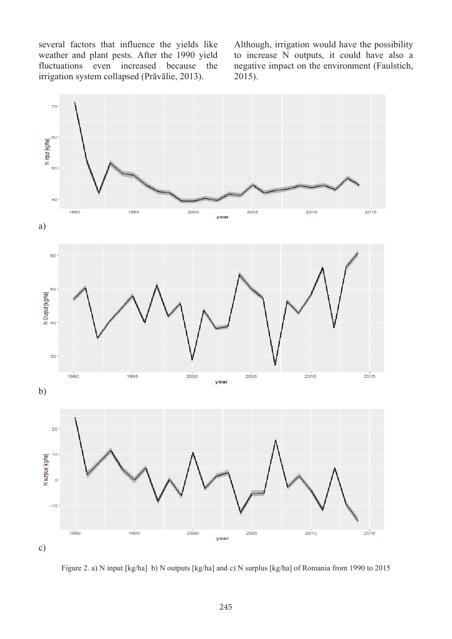several factors that influence the yields like weather and plant pests. After the 1990 yield fluctuations even increased because the irrigation system collapsed (Prăvălie, 2013).

Although, irrigation would have the possibility to increase N outputs, it could have also a negative impact on the environment (Faulstich, 2015).



Figure 2. a) N input [kg/ha] b) N outputs [kg/ha] and c) N surplus [kg/ha] of Romania from 1990 to 2015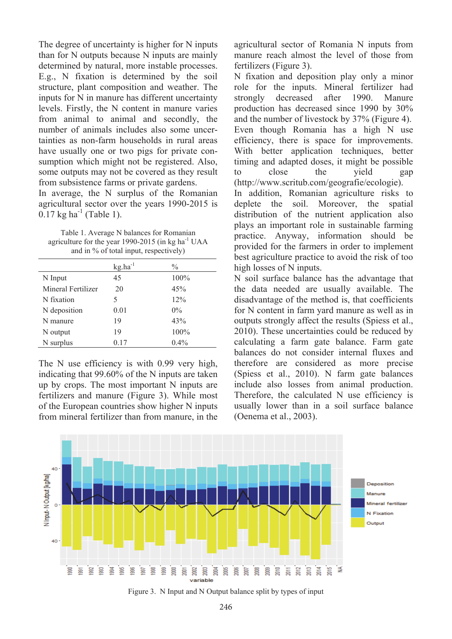The degree of uncertainty is higher for N inputs than for N outputs because N inputs are mainly determined by natural, more instable processes. E.g., N fixation is determined by the soil structure, plant composition and weather. The inputs for N in manure has different uncertainty levels. Firstly, the N content in manure varies from animal to animal and secondly, the number of animals includes also some uncertainties as non-farm households in rural areas have usually one or two pigs for private consumption which might not be registered. Also, some outputs may not be covered as they result from subsistence farms or private gardens.

In average, the N surplus of the Romanian agricultural sector over the years 1990-2015 is  $0.17 \text{ kg ha}^{-1}$  (Table 1).

Table 1. Average N balances for Romanian agriculture for the year 1990-2015 (in kg ha $^{-1}$  UAA and in % of total input, respectively)

|                    | $kg.ha^{-1}$ | $\frac{0}{0}$ |
|--------------------|--------------|---------------|
| N Input            | 45           | 100%          |
| Mineral Fertilizer | 20           | 45%           |
| N fixation         | 5            | 12%           |
| N deposition       | 0.01         | $0\%$         |
| N manure           | 19           | 43%           |
| N output           | 19           | 100%          |
| N surplus          | 0.17         | 0.4%          |

The N use efficiency is with 0.99 very high, indicating that 99.60% of the N inputs are taken up by crops. The most important N inputs are fertilizers and manure (Figure 3). While most of the European countries show higher N inputs from mineral fertilizer than from manure, in the agricultural sector of Romania N inputs from manure reach almost the level of those from fertilizers (Figure 3).

N fixation and deposition play only a minor role for the inputs. Mineral fertilizer had strongly decreased after 1990. Manure production has decreased since 1990 by 30% and the number of livestock by 37% (Figure 4). Even though Romania has a high N use efficiency, there is space for improvements. With better application techniques, better timing and adapted doses, it might be possible to close the yield gap (http://www.scritub.com/geografie/ecologie). In addition, Romanian agriculture risks to deplete the soil. Moreover, the spatial distribution of the nutrient application also plays an important role in sustainable farming practice. Anyway, information should be provided for the farmers in order to implement best agriculture practice to avoid the risk of too high losses of N inputs.

N soil surface balance has the advantage that the data needed are usually available. The disadvantage of the method is, that coefficients for N content in farm yard manure as well as in outputs strongly affect the results (Spiess et al., 2010). These uncertainties could be reduced by calculating a farm gate balance. Farm gate balances do not consider internal fluxes and therefore are considered as more precise (Spiess et al., 2010). N farm gate balances include also losses from animal production. Therefore, the calculated N use efficiency is usually lower than in a soil surface balance (Oenema et al., 2003).



Figure 3. N Input and N Output balance split by types of input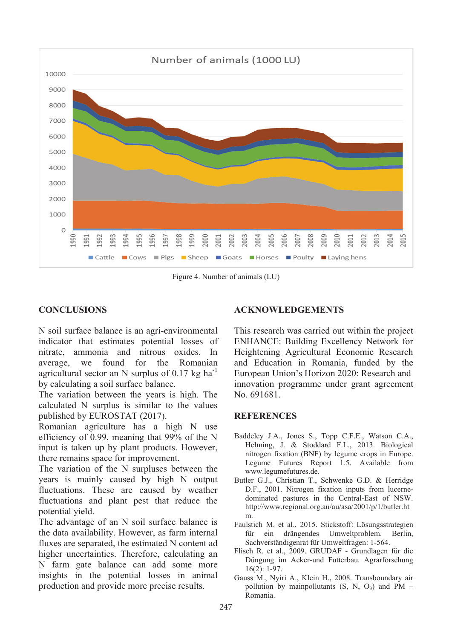

Figure 4. Number of animals (LU)

# **CONCLUSIONS**

N soil surface balance is an agri-environmental indicator that estimates potential losses of nitrate, ammonia and nitrous oxides. In average, we found for the Romanian agricultural sector an N surplus of  $0.17 \text{ kg ha}^{-1}$ by calculating a soil surface balance.

The variation between the years is high. The calculated N surplus is similar to the values published by EUROSTAT (2017).

Romanian agriculture has a high N use efficiency of 0.99, meaning that 99% of the N input is taken up by plant products. However, there remains space for improvement.

The variation of the N surpluses between the years is mainly caused by high N output fluctuations. These are caused by weather fluctuations and plant pest that reduce the potential yield.

The advantage of an N soil surface balance is the data availability. However, as farm internal fluxes are separated, the estimated N content ad higher uncertainties. Therefore, calculating an N farm gate balance can add some more insights in the potential losses in animal production and provide more precise results.

## **ACKNOWLEDGEMENTS**

This research was carried out within the project ENHANCE: Building Excellency Network for Heightening Agricultural Economic Research and Education in Romania, funded by the European Union's Horizon 2020: Research and innovation programme under grant agreement No. 691681.

#### **REFERENCES**

- Baddeley J.A., Jones S., Topp C.F.E., Watson C.A., Helming, J. & Stoddard F.L., 2013. Biological nitrogen fixation (BNF) by legume crops in Europe. Legume Futures Report 1.5. Available from www.legumefutures.de.
- Butler G.J., Christian T., Schwenke G.D. & Herridge D.F., 2001. Nitrogen fixation inputs from lucernedominated pastures in the Central-East of NSW. http://www.regional.org.au/au/asa/2001/p/1/butler.ht m.
- Faulstich M. et al., 2015. Stickstoff: Lösungsstrategien für ein drängendes Umweltproblem. Berlin, Sachverständigenrat für Umweltfragen: 1-564.
- Flisch R. et al., 2009. GRUDAF Grundlagen für die Düngung im Acker-und Futterbau*.* Agrarforschung 16(2): 1-97.
- Gauss M., Nyiri A., Klein H., 2008. Transboundary air pollution by mainpollutants  $(S, N, O_3)$  and PM – Romania.